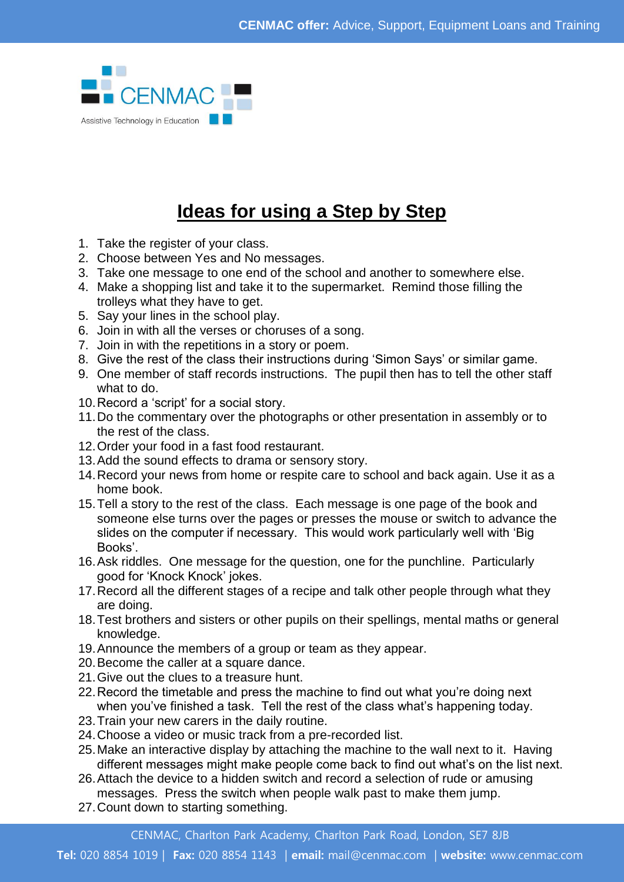

## **Ideas for using a Step by Step**

- 1. Take the register of your class.
- 2. Choose between Yes and No messages.
- 3. Take one message to one end of the school and another to somewhere else.
- 4. Make a shopping list and take it to the supermarket. Remind those filling the trolleys what they have to get.
- 5. Say your lines in the school play.
- 6. Join in with all the verses or choruses of a song.
- 7. Join in with the repetitions in a story or poem.
- 8. Give the rest of the class their instructions during 'Simon Says' or similar game.
- 9. One member of staff records instructions. The pupil then has to tell the other staff what to do.
- 10.Record a 'script' for a social story.
- 11.Do the commentary over the photographs or other presentation in assembly or to the rest of the class.
- 12.Order your food in a fast food restaurant.
- 13.Add the sound effects to drama or sensory story.
- 14.Record your news from home or respite care to school and back again. Use it as a home book.
- 15.Tell a story to the rest of the class. Each message is one page of the book and someone else turns over the pages or presses the mouse or switch to advance the slides on the computer if necessary. This would work particularly well with 'Big Books'.
- 16.Ask riddles. One message for the question, one for the punchline. Particularly good for 'Knock Knock' jokes.
- 17.Record all the different stages of a recipe and talk other people through what they are doing.
- 18.Test brothers and sisters or other pupils on their spellings, mental maths or general knowledge.
- 19.Announce the members of a group or team as they appear.
- 20.Become the caller at a square dance.
- 21.Give out the clues to a treasure hunt.
- 22.Record the timetable and press the machine to find out what you're doing next when you've finished a task. Tell the rest of the class what's happening today.
- 23.Train your new carers in the daily routine.
- 24.Choose a video or music track from a pre-recorded list.
- 25.Make an interactive display by attaching the machine to the wall next to it. Having different messages might make people come back to find out what's on the list next.
- 26.Attach the device to a hidden switch and record a selection of rude or amusing messages. Press the switch when people walk past to make them jump.
- 27.Count down to starting something.